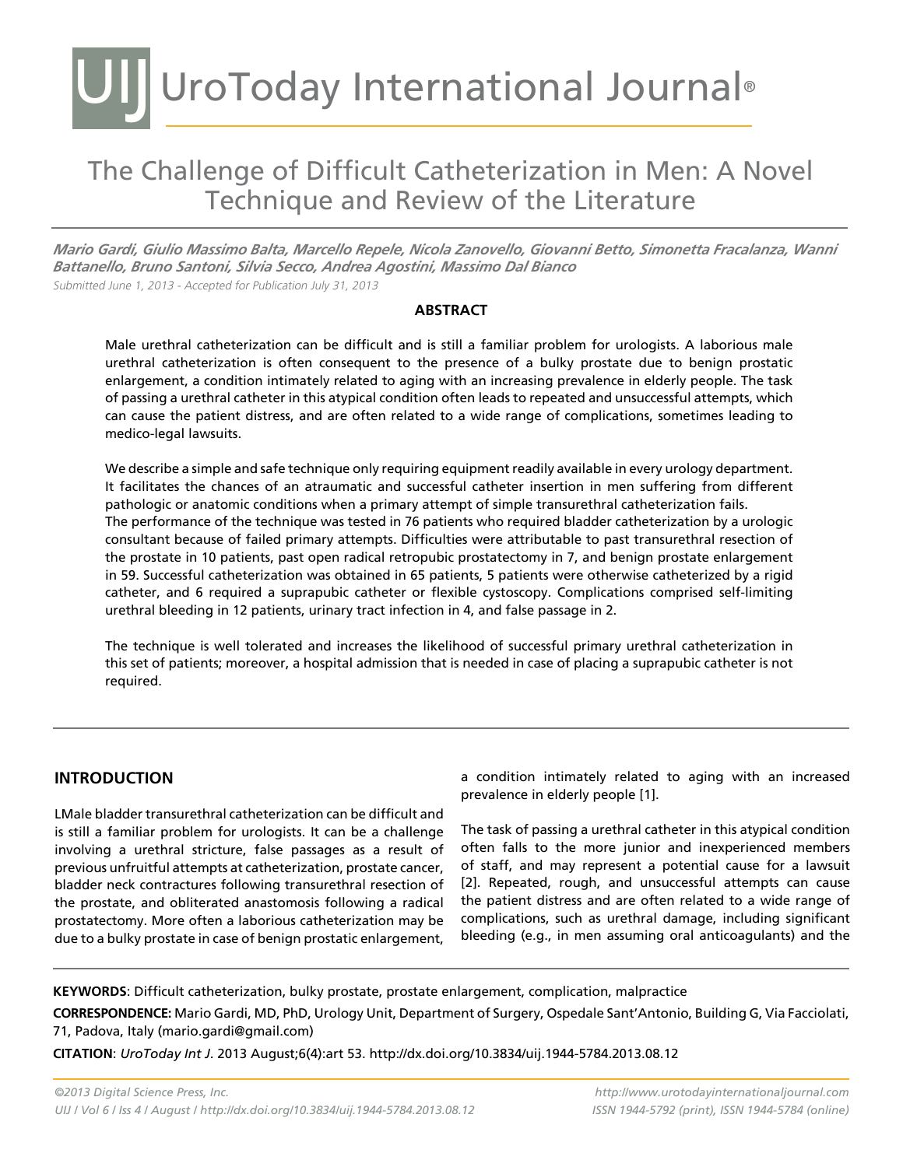### UIJ UroToday International Journal®

### The Challenge of Difficult Catheterization in Men: A Novel Technique and Review of the Literature

*Mario Gardi, Giulio Massimo Balta, Marcello Repele, Nicola Zanovello, Giovanni Betto, Simonetta Fracalanza, Wanni Battanello, Bruno Santoni, Silvia Secco, Andrea Agostini, Massimo Dal Bianco* Submitted June 1, 2013 - Accepted for Publication July 31, 2013

#### **Abstract**

Male urethral catheterization can be difficult and is still a familiar problem for urologists. A laborious male urethral catheterization is often consequent to the presence of a bulky prostate due to benign prostatic enlargement, a condition intimately related to aging with an increasing prevalence in elderly people. The task of passing a urethral catheter in this atypical condition often leads to repeated and unsuccessful attempts, which can cause the patient distress, and are often related to a wide range of complications, sometimes leading to medico-legal lawsuits.

We describe a simple and safe technique only requiring equipment readily available in every urology department. It facilitates the chances of an atraumatic and successful catheter insertion in men suffering from different pathologic or anatomic conditions when a primary attempt of simple transurethral catheterization fails. The performance of the technique was tested in 76 patients who required bladder catheterization by a urologic consultant because of failed primary attempts. Difficulties were attributable to past transurethral resection of the prostate in 10 patients, past open radical retropubic prostatectomy in 7, and benign prostate enlargement in 59. Successful catheterization was obtained in 65 patients, 5 patients were otherwise catheterized by a rigid catheter, and 6 required a suprapubic catheter or flexible cystoscopy. Complications comprised self-limiting urethral bleeding in 12 patients, urinary tract infection in 4, and false passage in 2.

The technique is well tolerated and increases the likelihood of successful primary urethral catheterization in this set of patients; moreover, a hospital admission that is needed in case of placing a suprapubic catheter is not required.

#### **introduction**

LMale bladder transurethral catheterization can be difficult and is still a familiar problem for urologists. It can be a challenge involving a urethral stricture, false passages as a result of previous unfruitful attempts at catheterization, prostate cancer, bladder neck contractures following transurethral resection of the prostate, and obliterated anastomosis following a radical prostatectomy. More often a laborious catheterization may be due to a bulky prostate in case of benign prostatic enlargement,

a condition intimately related to aging with an increased prevalence in elderly people [1].

The task of passing a urethral catheter in this atypical condition often falls to the more junior and inexperienced members of staff, and may represent a potential cause for a lawsuit [2]. Repeated, rough, and unsuccessful attempts can cause the patient distress and are often related to a wide range of complications, such as urethral damage, including significant bleeding (e.g., in men assuming oral anticoagulants) and the

**KEYWORDS**: Difficult catheterization, bulky prostate, prostate enlargement, complication, malpractice

**CORRESPONDENCE:** Mario Gardi, MD, PhD, Urology Unit, Department of Surgery, Ospedale Sant'Antonio, Building G, Via Facciolati, 71, Padova, Italy (mario.gardi@gmail.com)

**CITATION**: *UroToday Int J*. 2013 August;6(4):art 53. http://dx.doi.org/10.3834/uij.1944-5784.2013.08.12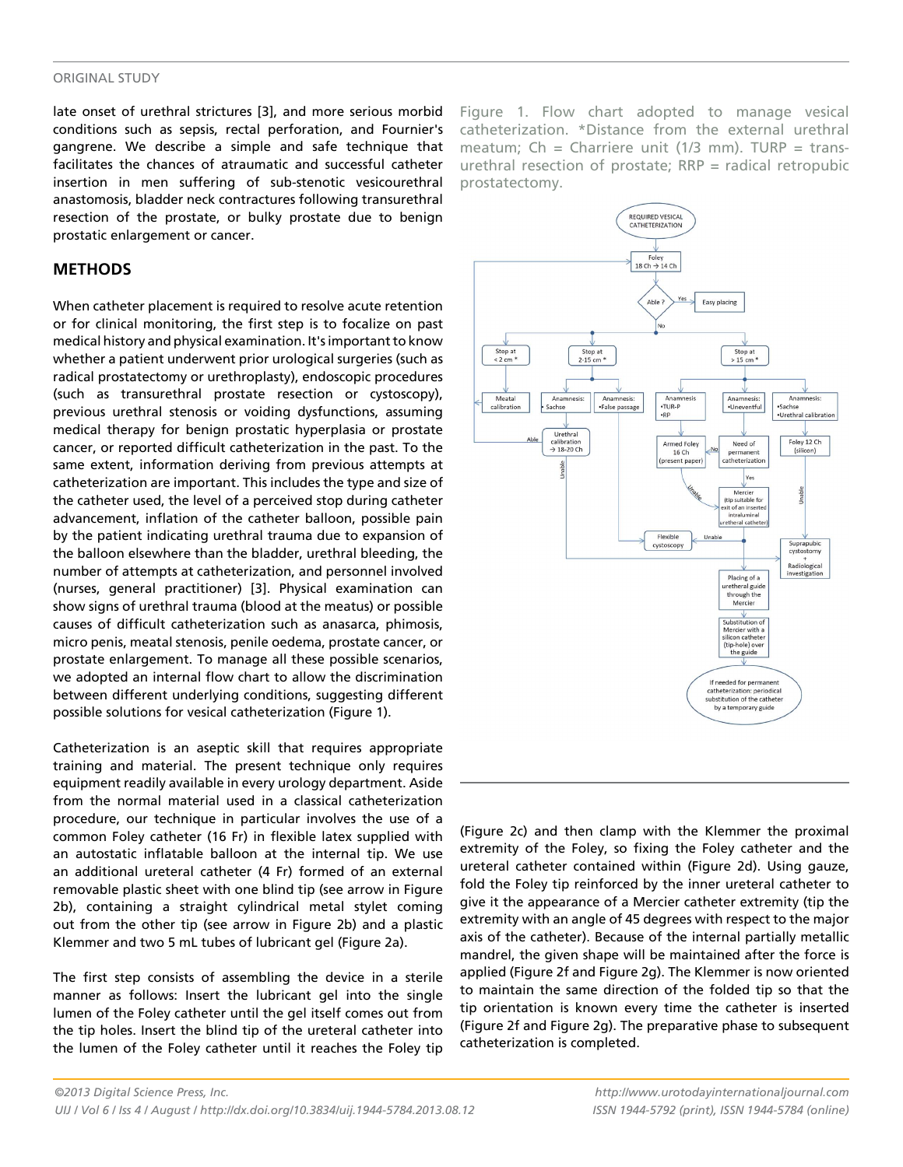#### original study

late onset of urethral strictures [3], and more serious morbid conditions such as sepsis, rectal perforation, and Fournier's gangrene. We describe a simple and safe technique that facilitates the chances of atraumatic and successful catheter insertion in men suffering of sub-stenotic vesicourethral anastomosis, bladder neck contractures following transurethral resection of the prostate, or bulky prostate due to benign prostatic enlargement or cancer.

#### **METHODS**

When catheter placement is required to resolve acute retention or for clinical monitoring, the first step is to focalize on past medical history and physical examination. It's important to know whether a patient underwent prior urological surgeries (such as radical prostatectomy or urethroplasty), endoscopic procedures (such as transurethral prostate resection or cystoscopy), previous urethral stenosis or voiding dysfunctions, assuming medical therapy for benign prostatic hyperplasia or prostate cancer, or reported difficult catheterization in the past. To the same extent, information deriving from previous attempts at catheterization are important. This includes the type and size of the catheter used, the level of a perceived stop during catheter advancement, inflation of the catheter balloon, possible pain by the patient indicating urethral trauma due to expansion of the balloon elsewhere than the bladder, urethral bleeding, the number of attempts at catheterization, and personnel involved (nurses, general practitioner) [3]. Physical examination can show signs of urethral trauma (blood at the meatus) or possible causes of difficult catheterization such as anasarca, phimosis, micro penis, meatal stenosis, penile oedema, prostate cancer, or prostate enlargement. To manage all these possible scenarios, we adopted an internal flow chart to allow the discrimination between different underlying conditions, suggesting different possible solutions for vesical catheterization (Figure 1).

Catheterization is an aseptic skill that requires appropriate training and material. The present technique only requires equipment readily available in every urology department. Aside from the normal material used in a classical catheterization procedure, our technique in particular involves the use of a common Foley catheter (16 Fr) in flexible latex supplied with an autostatic inflatable balloon at the internal tip. We use an additional ureteral catheter (4 Fr) formed of an external removable plastic sheet with one blind tip (see arrow in Figure 2b), containing a straight cylindrical metal stylet coming out from the other tip (see arrow in Figure 2b) and a plastic Klemmer and two 5 mL tubes of lubricant gel (Figure 2a).

The first step consists of assembling the device in a sterile manner as follows: Insert the lubricant gel into the single lumen of the Foley catheter until the gel itself comes out from the tip holes. Insert the blind tip of the ureteral catheter into the lumen of the Foley catheter until it reaches the Foley tip Figure 1. Flow chart adopted to manage vesical catheterization. \*Distance from the external urethral meatum; Ch = Charriere unit (1/3 mm). TURP = transurethral resection of prostate;  $RRP =$  radical retropubic prostatectomy.



(Figure 2c) and then clamp with the Klemmer the proximal extremity of the Foley, so fixing the Foley catheter and the ureteral catheter contained within (Figure 2d). Using gauze, fold the Foley tip reinforced by the inner ureteral catheter to give it the appearance of a Mercier catheter extremity (tip the extremity with an angle of 45 degrees with respect to the major axis of the catheter). Because of the internal partially metallic mandrel, the given shape will be maintained after the force is applied (Figure 2f and Figure 2g). The Klemmer is now oriented to maintain the same direction of the folded tip so that the tip orientation is known every time the catheter is inserted (Figure 2f and Figure 2g). The preparative phase to subsequent catheterization is completed.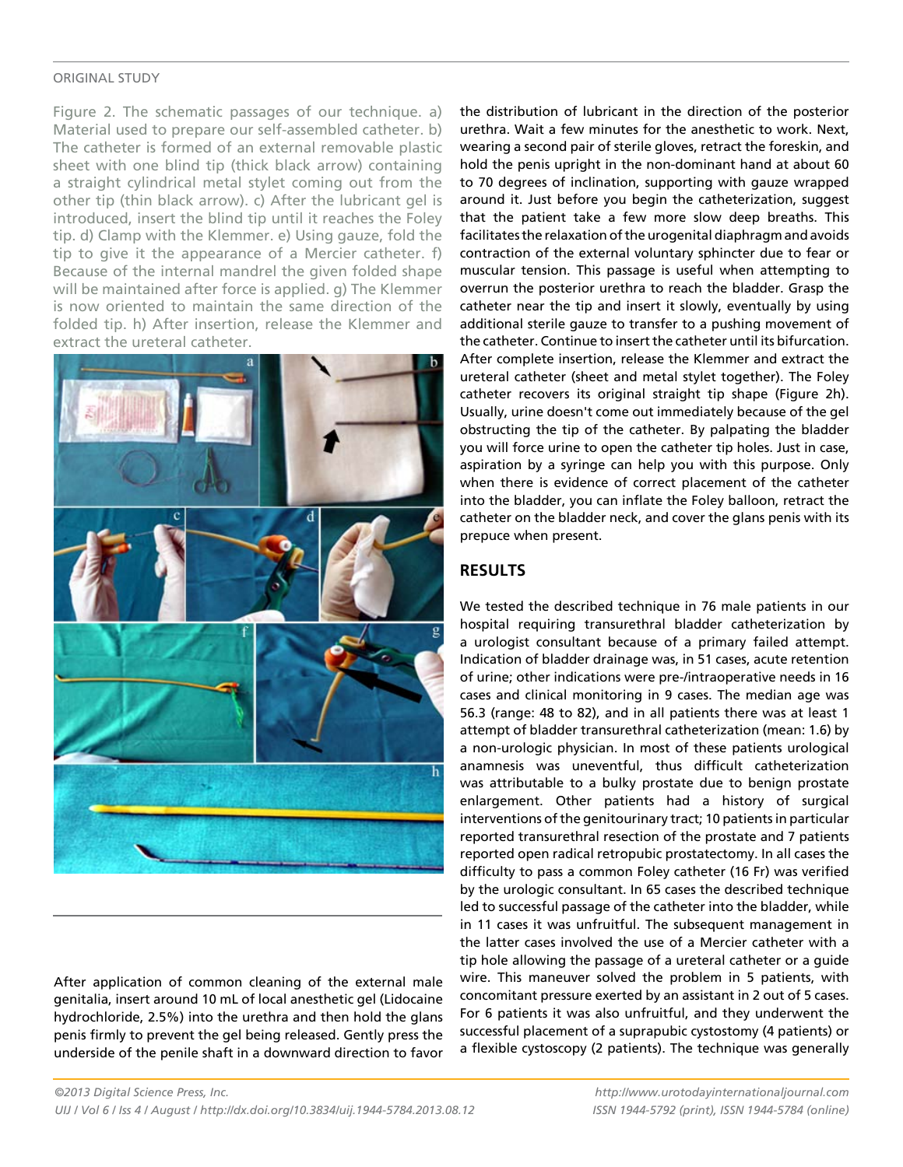#### original study

Figure 2. The schematic passages of our technique. a) Material used to prepare our self-assembled catheter. b) The catheter is formed of an external removable plastic sheet with one blind tip (thick black arrow) containing a straight cylindrical metal stylet coming out from the other tip (thin black arrow). c) After the lubricant gel is introduced, insert the blind tip until it reaches the Foley tip. d) Clamp with the Klemmer. e) Using gauze, fold the tip to give it the appearance of a Mercier catheter. f) Because of the internal mandrel the given folded shape will be maintained after force is applied. g) The Klemmer is now oriented to maintain the same direction of the folded tip. h) After insertion, release the Klemmer and extract the ureteral catheter.



After application of common cleaning of the external male genitalia, insert around 10 mL of local anesthetic gel (Lidocaine hydrochloride, 2.5%) into the urethra and then hold the glans penis firmly to prevent the gel being released. Gently press the underside of the penile shaft in a downward direction to favor the distribution of lubricant in the direction of the posterior urethra. Wait a few minutes for the anesthetic to work. Next, wearing a second pair of sterile gloves, retract the foreskin, and hold the penis upright in the non-dominant hand at about 60 to 70 degrees of inclination, supporting with gauze wrapped around it. Just before you begin the catheterization, suggest that the patient take a few more slow deep breaths. This facilitates the relaxation of the urogenital diaphragm and avoids contraction of the external voluntary sphincter due to fear or muscular tension. This passage is useful when attempting to overrun the posterior urethra to reach the bladder. Grasp the catheter near the tip and insert it slowly, eventually by using additional sterile gauze to transfer to a pushing movement of the catheter. Continue to insert the catheter until its bifurcation. After complete insertion, release the Klemmer and extract the ureteral catheter (sheet and metal stylet together). The Foley catheter recovers its original straight tip shape (Figure 2h). Usually, urine doesn't come out immediately because of the gel obstructing the tip of the catheter. By palpating the bladder you will force urine to open the catheter tip holes. Just in case, aspiration by a syringe can help you with this purpose. Only when there is evidence of correct placement of the catheter into the bladder, you can inflate the Foley balloon, retract the catheter on the bladder neck, and cover the glans penis with its prepuce when present.

#### **RESULTS**

We tested the described technique in 76 male patients in our hospital requiring transurethral bladder catheterization by a urologist consultant because of a primary failed attempt. Indication of bladder drainage was, in 51 cases, acute retention of urine; other indications were pre-/intraoperative needs in 16 cases and clinical monitoring in 9 cases. The median age was 56.3 (range: 48 to 82), and in all patients there was at least 1 attempt of bladder transurethral catheterization (mean: 1.6) by a non-urologic physician. In most of these patients urological anamnesis was uneventful, thus difficult catheterization was attributable to a bulky prostate due to benign prostate enlargement. Other patients had a history of surgical interventions of the genitourinary tract; 10 patients in particular reported transurethral resection of the prostate and 7 patients reported open radical retropubic prostatectomy. In all cases the difficulty to pass a common Foley catheter (16 Fr) was verified by the urologic consultant. In 65 cases the described technique led to successful passage of the catheter into the bladder, while in 11 cases it was unfruitful. The subsequent management in the latter cases involved the use of a Mercier catheter with a tip hole allowing the passage of a ureteral catheter or a guide wire. This maneuver solved the problem in 5 patients, with concomitant pressure exerted by an assistant in 2 out of 5 cases. For 6 patients it was also unfruitful, and they underwent the successful placement of a suprapubic cystostomy (4 patients) or a flexible cystoscopy (2 patients). The technique was generally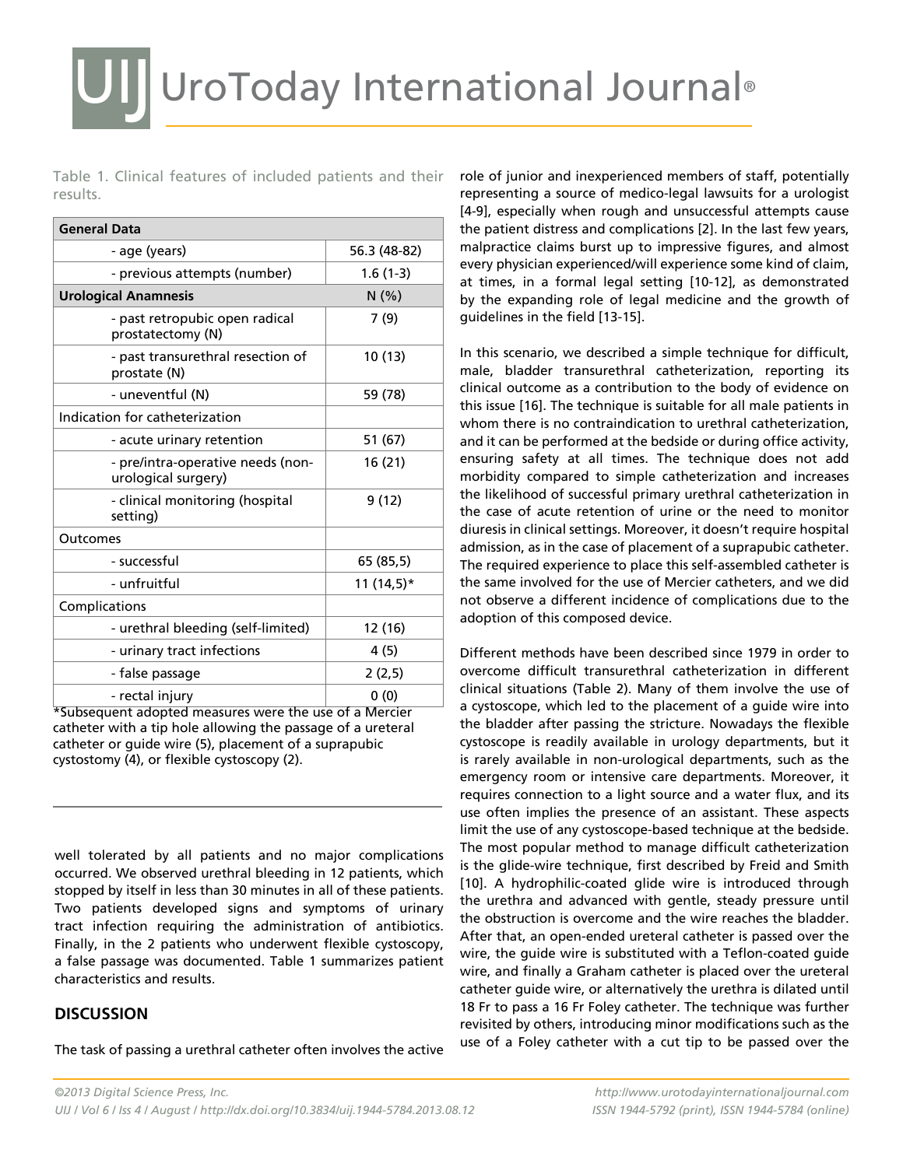Table 1. Clinical features of included patients and their results.

| <b>General Data</b>                                      |              |
|----------------------------------------------------------|--------------|
| - age (years)                                            | 56.3 (48-82) |
| - previous attempts (number)                             | $1.6(1-3)$   |
| <b>Urological Anamnesis</b>                              | N(% )        |
| - past retropubic open radical<br>prostatectomy (N)      | 7(9)         |
| - past transurethral resection of<br>prostate (N)        | 10(13)       |
| - uneventful (N)                                         | 59 (78)      |
| Indication for catheterization                           |              |
| - acute urinary retention                                | 51 (67)      |
| - pre/intra-operative needs (non-<br>urological surgery) | 16 (21)      |
| - clinical monitoring (hospital<br>setting)              | 9(12)        |
| Outcomes                                                 |              |
| - successful                                             | 65 (85,5)    |
| - unfruitful                                             | 11 (14,5)*   |
| Complications                                            |              |
| - urethral bleeding (self-limited)                       | 12 (16)      |
| - urinary tract infections                               | 4 (5)        |
| - false passage                                          | 2(2,5)       |
| - rectal injury                                          | 0(0)         |

\*Subsequent adopted measures were the use of a Mercier catheter with a tip hole allowing the passage of a ureteral catheter or guide wire (5), placement of a suprapubic cystostomy (4), or flexible cystoscopy (2).

well tolerated by all patients and no major complications occurred. We observed urethral bleeding in 12 patients, which stopped by itself in less than 30 minutes in all of these patients. Two patients developed signs and symptoms of urinary tract infection requiring the administration of antibiotics. Finally, in the 2 patients who underwent flexible cystoscopy, a false passage was documented. Table 1 summarizes patient characteristics and results.

#### **DISCUSSION**

The task of passing a urethral catheter often involves the active

role of junior and inexperienced members of staff, potentially representing a source of medico-legal lawsuits for a urologist [4-9], especially when rough and unsuccessful attempts cause the patient distress and complications [2]. In the last few years, malpractice claims burst up to impressive figures, and almost every physician experienced/will experience some kind of claim, at times, in a formal legal setting [10-12], as demonstrated by the expanding role of legal medicine and the growth of guidelines in the field [13-15].

In this scenario, we described a simple technique for difficult, male, bladder transurethral catheterization, reporting its clinical outcome as a contribution to the body of evidence on this issue [16]. The technique is suitable for all male patients in whom there is no contraindication to urethral catheterization, and it can be performed at the bedside or during office activity, ensuring safety at all times. The technique does not add morbidity compared to simple catheterization and increases the likelihood of successful primary urethral catheterization in the case of acute retention of urine or the need to monitor diuresis in clinical settings. Moreover, it doesn't require hospital admission, as in the case of placement of a suprapubic catheter. The required experience to place this self-assembled catheter is the same involved for the use of Mercier catheters, and we did not observe a different incidence of complications due to the adoption of this composed device.

Different methods have been described since 1979 in order to overcome difficult transurethral catheterization in different clinical situations (Table 2). Many of them involve the use of a cystoscope, which led to the placement of a guide wire into the bladder after passing the stricture. Nowadays the flexible cystoscope is readily available in urology departments, but it is rarely available in non-urological departments, such as the emergency room or intensive care departments. Moreover, it requires connection to a light source and a water flux, and its use often implies the presence of an assistant. These aspects limit the use of any cystoscope-based technique at the bedside. The most popular method to manage difficult catheterization is the glide-wire technique, first described by Freid and Smith [10]. A hydrophilic-coated glide wire is introduced through the urethra and advanced with gentle, steady pressure until the obstruction is overcome and the wire reaches the bladder. After that, an open-ended ureteral catheter is passed over the wire, the guide wire is substituted with a Teflon-coated guide wire, and finally a Graham catheter is placed over the ureteral catheter guide wire, or alternatively the urethra is dilated until 18 Fr to pass a 16 Fr Foley catheter. The technique was further revisited by others, introducing minor modifications such as the use of a Foley catheter with a cut tip to be passed over the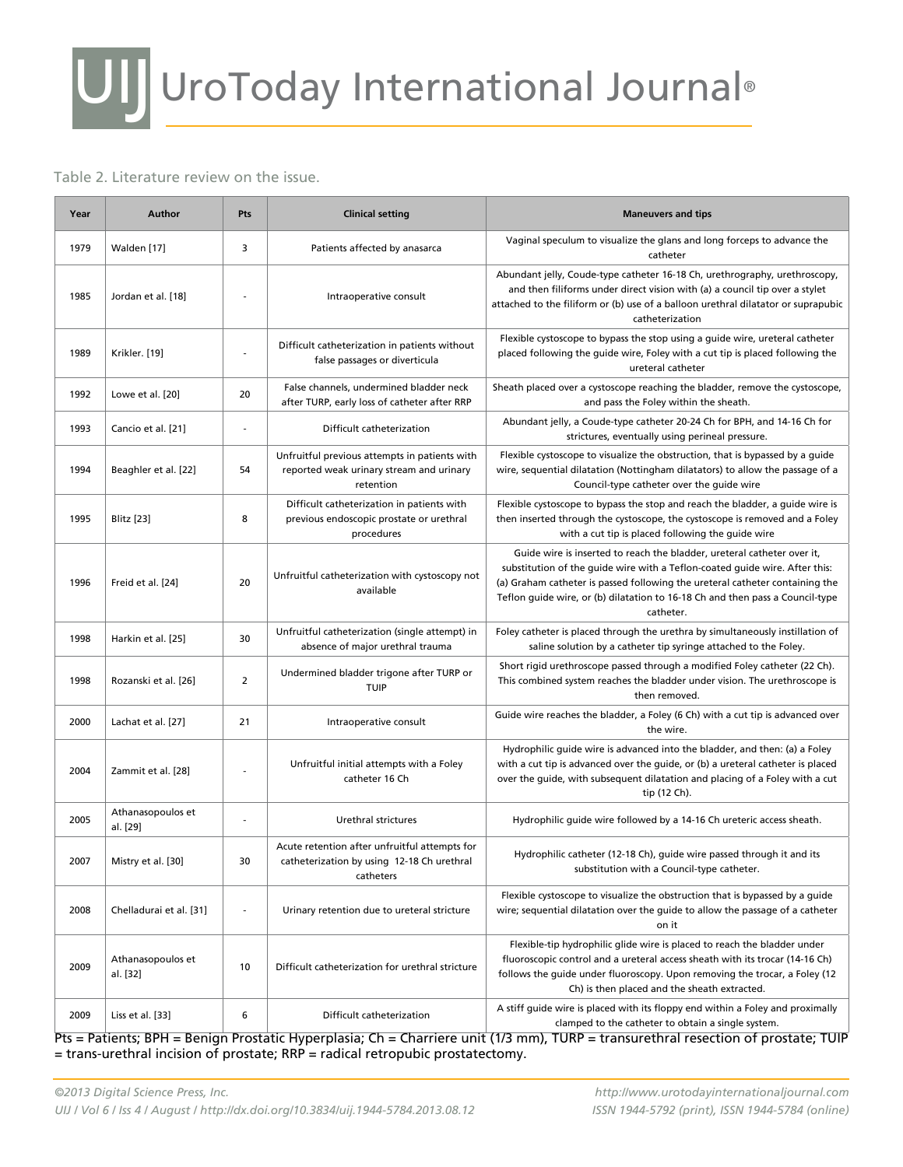# UIJ UroToday International Journal®

#### Table 2. Literature review on the issue.

| Year | <b>Author</b>                 | Pts                      | <b>Clinical setting</b>                                                                                  | <b>Maneuvers and tips</b>                                                                                                                                                                                                                                                                                                            |
|------|-------------------------------|--------------------------|----------------------------------------------------------------------------------------------------------|--------------------------------------------------------------------------------------------------------------------------------------------------------------------------------------------------------------------------------------------------------------------------------------------------------------------------------------|
| 1979 | Walden [17]                   | 3                        | Patients affected by anasarca                                                                            | Vaginal speculum to visualize the glans and long forceps to advance the<br>catheter                                                                                                                                                                                                                                                  |
| 1985 | Jordan et al. [18]            |                          | Intraoperative consult                                                                                   | Abundant jelly, Coude-type catheter 16-18 Ch, urethrography, urethroscopy,<br>and then filiforms under direct vision with (a) a council tip over a stylet<br>attached to the filiform or (b) use of a balloon urethral dilatator or suprapubic<br>catheterization                                                                    |
| 1989 | Krikler. [19]                 | $\overline{\phantom{a}}$ | Difficult catheterization in patients without<br>false passages or diverticula                           | Flexible cystoscope to bypass the stop using a guide wire, ureteral catheter<br>placed following the guide wire, Foley with a cut tip is placed following the<br>ureteral catheter                                                                                                                                                   |
| 1992 | Lowe et al. [20]              | 20                       | False channels, undermined bladder neck<br>after TURP, early loss of catheter after RRP                  | Sheath placed over a cystoscope reaching the bladder, remove the cystoscope,<br>and pass the Foley within the sheath.                                                                                                                                                                                                                |
| 1993 | Cancio et al. [21]            | $\overline{\phantom{a}}$ | Difficult catheterization                                                                                | Abundant jelly, a Coude-type catheter 20-24 Ch for BPH, and 14-16 Ch for<br>strictures, eventually using perineal pressure.                                                                                                                                                                                                          |
| 1994 | Beaghler et al. [22]          | 54                       | Unfruitful previous attempts in patients with<br>reported weak urinary stream and urinary<br>retention   | Flexible cystoscope to visualize the obstruction, that is bypassed by a quide<br>wire, sequential dilatation (Nottingham dilatators) to allow the passage of a<br>Council-type catheter over the guide wire                                                                                                                          |
| 1995 | Blitz [23]                    | 8                        | Difficult catheterization in patients with<br>previous endoscopic prostate or urethral<br>procedures     | Flexible cystoscope to bypass the stop and reach the bladder, a guide wire is<br>then inserted through the cystoscope, the cystoscope is removed and a Foley<br>with a cut tip is placed following the guide wire                                                                                                                    |
| 1996 | Freid et al. [24]             | 20                       | Unfruitful catheterization with cystoscopy not<br>available                                              | Guide wire is inserted to reach the bladder, ureteral catheter over it,<br>substitution of the guide wire with a Teflon-coated guide wire. After this:<br>(a) Graham catheter is passed following the ureteral catheter containing the<br>Teflon guide wire, or (b) dilatation to 16-18 Ch and then pass a Council-type<br>catheter. |
| 1998 | Harkin et al. [25]            | 30                       | Unfruitful catheterization (single attempt) in<br>absence of major urethral trauma                       | Foley catheter is placed through the urethra by simultaneously instillation of<br>saline solution by a catheter tip syringe attached to the Foley.                                                                                                                                                                                   |
| 1998 | Rozanski et al. [26]          | $\overline{2}$           | Undermined bladder trigone after TURP or<br><b>TUIP</b>                                                  | Short rigid urethroscope passed through a modified Foley catheter (22 Ch).<br>This combined system reaches the bladder under vision. The urethroscope is<br>then removed.                                                                                                                                                            |
| 2000 | Lachat et al. [27]            | 21                       | Intraoperative consult                                                                                   | Guide wire reaches the bladder, a Foley (6 Ch) with a cut tip is advanced over<br>the wire.                                                                                                                                                                                                                                          |
| 2004 | Zammit et al. [28]            |                          | Unfruitful initial attempts with a Foley<br>catheter 16 Ch                                               | Hydrophilic quide wire is advanced into the bladder, and then: (a) a Foley<br>with a cut tip is advanced over the guide, or (b) a ureteral catheter is placed<br>over the guide, with subsequent dilatation and placing of a Foley with a cut<br>tip (12 Ch).                                                                        |
| 2005 | Athanasopoulos et<br>al. [29] |                          | Urethral strictures                                                                                      | Hydrophilic guide wire followed by a 14-16 Ch ureteric access sheath.                                                                                                                                                                                                                                                                |
| 2007 | Mistry et al. [30]            | 30                       | Acute retention after unfruitful attempts for<br>catheterization by using 12-18 Ch urethral<br>catheters | Hydrophilic catheter (12-18 Ch), guide wire passed through it and its<br>substitution with a Council-type catheter.                                                                                                                                                                                                                  |
| 2008 | Chelladurai et al. [31]       | $\overline{\phantom{a}}$ | Urinary retention due to ureteral stricture                                                              | Flexible cystoscope to visualize the obstruction that is bypassed by a quide<br>wire; sequential dilatation over the guide to allow the passage of a catheter<br>on it                                                                                                                                                               |
| 2009 | Athanasopoulos et<br>al. [32] | 10                       | Difficult catheterization for urethral stricture                                                         | Flexible-tip hydrophilic glide wire is placed to reach the bladder under<br>fluoroscopic control and a ureteral access sheath with its trocar (14-16 Ch)<br>follows the guide under fluoroscopy. Upon removing the trocar, a Foley (12<br>Ch) is then placed and the sheath extracted.                                               |
| 2009 | Liss et al. [33]              | 6                        | Difficult catheterization                                                                                | A stiff guide wire is placed with its floppy end within a Foley and proximally<br>clamped to the catheter to obtain a single system.                                                                                                                                                                                                 |

Pts = Patients; BPH = Benign Prostatic Hyperplasia; Ch = Charriere unit (1/3 mm), TURP = transurethral resection of prostate; TUIP = trans-urethral incision of prostate; RRP = radical retropubic prostatectomy.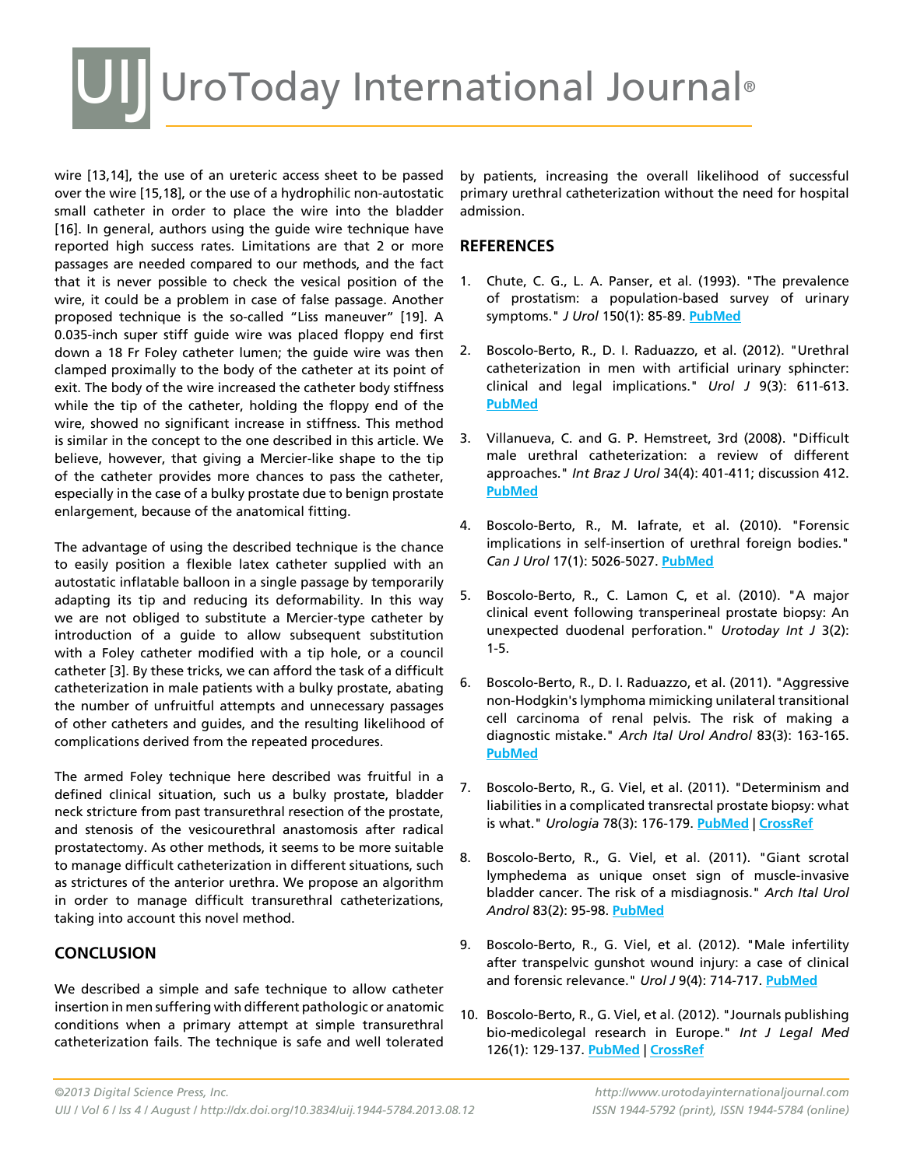## UI UroToday International Journal®

wire [13,14], the use of an ureteric access sheet to be passed over the wire [15,18], or the use of a hydrophilic non-autostatic small catheter in order to place the wire into the bladder [16]. In general, authors using the quide wire technique have reported high success rates. Limitations are that 2 or more passages are needed compared to our methods, and the fact that it is never possible to check the vesical position of the wire, it could be a problem in case of false passage. Another proposed technique is the so-called "Liss maneuver" [19]. A 0.035-inch super stiff guide wire was placed floppy end first down a 18 Fr Foley catheter lumen; the guide wire was then clamped proximally to the body of the catheter at its point of exit. The body of the wire increased the catheter body stiffness while the tip of the catheter, holding the floppy end of the wire, showed no significant increase in stiffness. This method is similar in the concept to the one described in this article. We believe, however, that giving a Mercier-like shape to the tip of the catheter provides more chances to pass the catheter, especially in the case of a bulky prostate due to benign prostate enlargement, because of the anatomical fitting.

The advantage of using the described technique is the chance to easily position a flexible latex catheter supplied with an autostatic inflatable balloon in a single passage by temporarily adapting its tip and reducing its deformability. In this way we are not obliged to substitute a Mercier-type catheter by introduction of a guide to allow subsequent substitution with a Foley catheter modified with a tip hole, or a council catheter [3]. By these tricks, we can afford the task of a difficult catheterization in male patients with a bulky prostate, abating the number of unfruitful attempts and unnecessary passages of other catheters and guides, and the resulting likelihood of complications derived from the repeated procedures.

The armed Foley technique here described was fruitful in a defined clinical situation, such us a bulky prostate, bladder neck stricture from past transurethral resection of the prostate, and stenosis of the vesicourethral anastomosis after radical prostatectomy. As other methods, it seems to be more suitable to manage difficult catheterization in different situations, such as strictures of the anterior urethra. We propose an algorithm in order to manage difficult transurethral catheterizations, taking into account this novel method.

#### **CONCLUSION**

We described a simple and safe technique to allow catheter insertion in men suffering with different pathologic or anatomic conditions when a primary attempt at simple transurethral catheterization fails. The technique is safe and well tolerated

by patients, increasing the overall likelihood of successful primary urethral catheterization without the need for hospital admission.

#### **References**

- 1. Chute, C. G., L. A. Panser, et al. (1993). "The prevalence of prostatism: a population-based survey of urinary symptoms." *J Urol* 150(1): 85-89. **[PubMed](http://www.ncbi.nlm.nih.gov/entrez/query.fcgi?cmd=Retrieve&db=PubMed&list_uids=7685427=&dopt=Abstract )**
- 2. Boscolo-Berto, R., D. I. Raduazzo, et al. (2012). "Urethral catheterization in men with artificial urinary sphincter: clinical and legal implications." *Urol J* 9(3): 611-613. **[PubMed](http://www.ncbi.nlm.nih.gov/entrez/query.fcgi?cmd=Retrieve&db=PubMed&list_uids=22903486=&dopt=Abstract )**
- 3. Villanueva, C. and G. P. Hemstreet, 3rd (2008). "Difficult male urethral catheterization: a review of different approaches." *Int Braz J Urol* 34(4): 401-411; discussion 412. **[PubMed](http://www.ncbi.nlm.nih.gov/entrez/query.fcgi?cmd=Retrieve&db=PubMed&list_uids=18778491=&dopt=Abstract )**
- 4. Boscolo-Berto, R., M. Iafrate, et al. (2010). "Forensic implications in self-insertion of urethral foreign bodies." *Can J Urol* 17(1): 5026-5027. **[PubMed](http://www.ncbi.nlm.nih.gov/entrez/query.fcgi?cmd=Retrieve&db=PubMed&list_uids=20156386=&dopt=Abstract )**
- 5. Boscolo-Berto, R., C. Lamon C, et al. (2010). "A major clinical event following transperineal prostate biopsy: An unexpected duodenal perforation." *Urotoday Int J* 3(2): 1-5.
- 6. Boscolo-Berto, R., D. I. Raduazzo, et al. (2011). "Aggressive non-Hodgkin's lymphoma mimicking unilateral transitional cell carcinoma of renal pelvis. The risk of making a diagnostic mistake." *Arch Ital Urol Androl* 83(3): 163-165. **[PubMed](http://www.ncbi.nlm.nih.gov/entrez/query.fcgi?cmd=Retrieve&db=PubMed&list_uids=22184842=&dopt=Abstract )**
- 7. Boscolo-Berto, R., G. Viel, et al. (2011). "Determinism and liabilities in a complicated transrectal prostate biopsy: what is what." *Urologia* 78(3): 176-179. **[PubMed](http://www.ncbi.nlm.nih.gov/entrez/query.fcgi?cmd=Retrieve&db=PubMed&list_uids=21786228=&dopt=Abstract )** | **[CrossRef](http://dx.doi.org/10.5301/RU.2011.8491)**
- 8. Boscolo-Berto, R., G. Viel, et al. (2011). "Giant scrotal lymphedema as unique onset sign of muscle-invasive bladder cancer. The risk of a misdiagnosis." *Arch Ital Urol Androl* 83(2): 95-98. **[PubMed](http://www.ncbi.nlm.nih.gov/entrez/query.fcgi?cmd=Retrieve&db=PubMed&list_uids=21826882=&dopt=Abstract )**
- 9. Boscolo-Berto, R., G. Viel, et al. (2012). "Male infertility after transpelvic gunshot wound injury: a case of clinical and forensic relevance." *Urol J* 9(4): 714-717. **[PubMed](http://www.ncbi.nlm.nih.gov/entrez/query.fcgi?cmd=Retrieve&db=PubMed&list_uids=23235979=&dopt=Abstract )**
- 10. Boscolo-Berto, R., G. Viel, et al. (2012). "Journals publishing bio-medicolegal research in Europe." *Int J Legal Med*  126(1): 129-137. **[PubMed](http://www.ncbi.nlm.nih.gov/entrez/query.fcgi?cmd=Retrieve&db=PubMed&list_uids=21938503=&dopt=Abstract )** | **[CrossRef](http://dx.doi.org/10.1007/s00414-011-0620-3)**